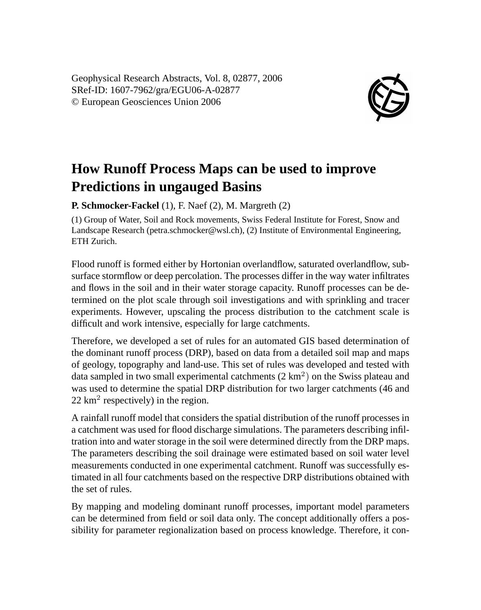Geophysical Research Abstracts, Vol. 8, 02877, 2006 SRef-ID: 1607-7962/gra/EGU06-A-02877 © European Geosciences Union 2006



## **How Runoff Process Maps can be used to improve Predictions in ungauged Basins**

**P. Schmocker-Fackel** (1), F. Naef (2), M. Margreth (2)

(1) Group of Water, Soil and Rock movements, Swiss Federal Institute for Forest, Snow and Landscape Research (petra.schmocker@wsl.ch), (2) Institute of Environmental Engineering, ETH Zurich.

Flood runoff is formed either by Hortonian overlandflow, saturated overlandflow, subsurface stormflow or deep percolation. The processes differ in the way water infiltrates and flows in the soil and in their water storage capacity. Runoff processes can be determined on the plot scale through soil investigations and with sprinkling and tracer experiments. However, upscaling the process distribution to the catchment scale is difficult and work intensive, especially for large catchments.

Therefore, we developed a set of rules for an automated GIS based determination of the dominant runoff process (DRP), based on data from a detailed soil map and maps of geology, topography and land-use. This set of rules was developed and tested with data sampled in two small experimental catchments  $(2 \text{ km}^2)$  on the Swiss plateau and was used to determine the spatial DRP distribution for two larger catchments (46 and  $22 \text{ km}^2$  respectively) in the region.

A rainfall runoff model that considers the spatial distribution of the runoff processes in a catchment was used for flood discharge simulations. The parameters describing infiltration into and water storage in the soil were determined directly from the DRP maps. The parameters describing the soil drainage were estimated based on soil water level measurements conducted in one experimental catchment. Runoff was successfully estimated in all four catchments based on the respective DRP distributions obtained with the set of rules.

By mapping and modeling dominant runoff processes, important model parameters can be determined from field or soil data only. The concept additionally offers a possibility for parameter regionalization based on process knowledge. Therefore, it con